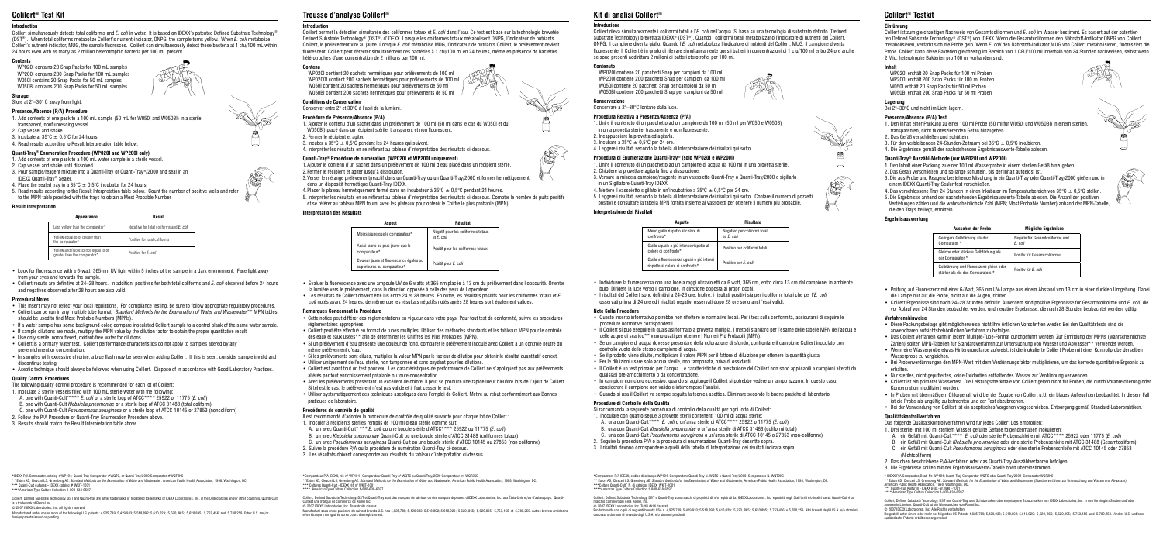#### **Introduction**

Colilert simultaneously detects total coliforms and *E. coli* in water. It is based on IDEXX's patented Defined Substrate Technology® (DST®). When total coliforms metabolize Colilert's nutrient-indicator, ONPG, the sample turns yellow. When *E. coli* metabolize Colilert's nutrient-indicator, MUG, the sample fluoresces. Colilert can simultaneously detect these bacteria at 1 cfu/100 mL within 24 hours even with as many as 2 million heterotrophic bacteria per 100 mL present.

#### **Contents**

 WP020I contains 20 Snap Packs for 100 mL samples WP200I contains 200 Snap Packs for 100 mL samples W050I contains 20 Snap Packs for 50 mL samples W050BI contains 200 Snap Packs for 50 mL samples

#### **Storage**

Store at 2°–30° C away from light.

#### **Presence/Absence (P/A) Procedure**

- 1. Add contents of one pack to a 100 mL sample (50 mL for W050I and W050BI) in a sterile, transparent, nonfluorescing vessel.
- 2. Cap vessel and shake.
- 3. Incubate at  $35^{\circ}$ C  $\pm$  0.5°C for 24 hours. 4. Read results according to Result Interpretation table below.

# **Quanti-Tray® Enumeration Procedure (WP020I and WP200I only)**

# 1. Add contents of one pack to a 100 mL water sample in a sterile vessel.

- 2. Cap vessel and shake until dissolved.
- 3. Pour sample/reagent mixture into a Quanti-Tray or Quanti-Tray®/2000 and seal in an IDEXX Quanti-Tray® Sealer.
- 4. Place the sealed tray in a 35°C  $\pm$  0.5°C incubator for 24 hours.
- 5. Read results according to the Result Interpretation table below. Count the number of positive wells and refer to the MPN table provided with the trays to obtain a Most Probable Number.

- This insert may not reflect your local regulations. For compliance testing, be sure to follow appropriate regulatory procedures.
- Colilert can be run in any multiple tube format. *Standard Methods for the Examination of Water and Wastewater*\*\* MPN tables should be used to find Most Probable Numbers (MPNs).
- If a water sample has some background color, compare inoculated Colilert sample to a control blank of the same water sample.
- If sample dilutions are made, multiply the MPN value by the dilution factor to obtain the proper quantitative result.
- Use only sterile, nonbuffered, oxidant-free water for dilutions.
- Colilert is a primary water test. Colilert performance characteristics do not apply to samples altered by any pre-enrichment or concentration.
- In samples with excessive chlorine, a blue flash may be seen when adding Colilert. If this is seen, consider sample invalid and discontinue testing.
- Aseptic technique should always be followed when using Colilert. Dispose of in accordance with Good Laboratory Practices.

#### **Result Interpretation**

- Look for fluorescence with a 6-watt, 365-nm UV light within 5 inches of the sample in a dark environment. Face light away from your eyes and towards the sample.
- Colilert results are definitive at 24–28 hours. In addition, positives for both total coliforms and *E. coli* observed before 24 hours and negatives observed after 28 hours are also valid.

#### **Procedural Notes**

Colilert, Defined Substrate Technology, DST and Quanti-tray are either trademarks or registered trademarks of IDEXX Laboratories, Inc. in the United States and/or other countries, Quanti-Cult is a trademark of Remel Inc. © 2007 IDEXX Laboratories, Inc. All rights reserved.

Manufactured under one or more of the following U.S. patents: 4,925,789; 5,429,933; 5,518,892; 5,610,029; 5,620, 865; 5,620,895; 5,753,456 and 5,780,259. Other U.S. and/or foreign patents issued or pending.







# **Quality Control Procedures**

The following quality control procedure is recommended for each lot of Colilert:

- 1. Inoculate 3 sterile vessels filled with 100 mL sterile water with the following:
- A. one with Quanti-Cult™\*\*\* *E. coli* or a sterile loop of ATCC\*\*\*\* 25922 or 11775 (*E. coli*)
- B. one with Quanti-Cult *Klebsiella pneumoniae* or a sterile loop of ATCC 31488 (total coliform)
- C. one with Quanti-Cult *Pseudomonas aeruginosa* or a sterile loop of ATCC 10145 or 27853 (noncoliform)
- 2. Follow the P/A Procedure or Quanti-Tray Enumeration Procedure above.

3. Results should match the Result Interpretation table above.

\*American Type Culture Collection 1-800-638-6597

# **Colilert® Test Kit**

\*IDEXX P/A Comparator, catalog #WP104; Quanti-Tray Comparator #WQTC, or Quanti-Tray/2000 Comparator #WQT2KC

\*\* Eaton AD, Clesceri LS, Greenberg AE. *Standard Methods for the Examination of Water and Wastewater*. American Public Health Association, 1998, Washington, DC. \*\*\* Quanti-Cult cultures – IDEXX catalog # WKIT-1001

| Appearance                                                          | Result                                   |
|---------------------------------------------------------------------|------------------------------------------|
| Less yellow than the comparator*                                    | Negative for total coliforms and E. coli |
| Yellow equal to or greater than<br>the comparator*                  | Positive for total coliforms             |
| Yellow and fluorescence equal to or<br>greater than the comparator* | Positive for F. coli                     |

#### **Introduction**

Colilert permet la détection simultanée des coliformes totaux et *E. coli* dans l'eau. Ce test est basé sur la technologie brevetée Defined Substrate Technology® (DST®) d'IDEXX. Lorsque les coliformes totaux métabolisent ONPG, l'indicateur de nutriants Colilert, le prélèvement vire au jaune. Lorsque *E. coli* métabolise MUG, l'indicateur de nutriants Colilert, le prélèvement devient fluorescent. Colilert peut détecter simultanément ces bactéries à 1 cfu/100 ml en 24 heures, même en présence de bactéries hétérotrophes d'une concentration de 2 millions par 100 ml.

### **Contenu**

WP020I contient 20 sachets hermétiques pour prélèvements de 100 ml **WP0200I contient 200 sachets hermétiques pour prélèvements de 100 ml**  $\sqrt{P}$ W050I contient 20 sachets hermétiques pour prélèvements de 50 ml W050BI contient 200 sachets hermétiques pour prélèvements de 50 ml

## **Conditions de Conservation**

Conserver entre 2° et 30°C à l'abri de la lumière.

### **Procédure de Présence/Absence (P/A)**

- 1. Ajouter le contenu d'un sachet dans un prélèvement de 100 ml (50 ml dans le cas du W050I et du W050BI) placé dans un récipient stérile, transparent et non fluorescent.
- 2. Fermer le récipient et agiter.
- 3. Incuber à  $35^{\circ}C \pm 0.5^{\circ}C$  pendant les 24 heures qui suivent.
- 4. Interpréter les résultats en se référant au tableau d'interprétation des résultats ci-dessous.

### **Quanti-Tray® Procédure de numération (WP020I et WP200I uniquement)**

- 1.Ajouter le contenu d'un sachet dans un prélèvement de 100 ml d'eau placé dans un récipient stérile.
- 2.Fermer le récipient et agiter jusqu'à dissolution.
- 3.Verser le mélange prélèvement/réactif dans un Quanti-Tray ou un Quanti-Tray/2000 et fermer hermétiquement dans un dispositif hermétique Quanti-Tray IDEXX.
- 4. Placer le plateau hermétiquement fermé dans un incubateur à  $35^{\circ}$ C  $\pm$  0.5°C pendant 24 heures.
- 5. Interpréter les résultats en se référant au tableau d'interprétation des résultats ci-dessous. Compter le nombre de puits positifs et se référer au tableau MPN fourni avec les plateaux pour obtenir le Chiffre le plus probable (MPN).

#### **Interprétation des Résultats**

- Évaluer la fluorescence avec une ampoule UV de 6 watts et 365 nm placée à 13 cm du prélèvement dans l'obscurité. Orienter
- la lumière vers le prélèvement, dans la direction opposée à celle des yeux de l'opérateur. • Les résultats de Colilert doivent être lus entre 24 et 28 heures. En outre, les résultats positifs pour les coliformes totaux et *E. coli* notés avant 24 heures, de même que les résultats négatifs notés après 28 heures sont également valides.

#### **Remarques Concernant la Procédure**

\*Comparatore P/A IDEXX, codice di catalogo WP104; Comparatore Quanti-Tray N. WQTC o Quanti-Tray/2000 Comparatore N. WQT2KC \*\* Eaton AD, Clesceri LS, Greenberg AE. *Standard Methods for the Examination of Water and Wastewater,* American Public Health Association, 1998, Washington, DC. \*\*\*Colture Quanti-Cult™ N. di catalogo IDEXX WKIT-1001 American Type Culture Collection 1-800-638-659

- Cette notice peut différer des réglementations en vigueur dans votre pays. Pour tout test de conformité, suivre les procédures réglementaires appropriées.
- Colilert peut être effectué en format de tubes multiples. Utiliser des méthodes standards et les tableaux MPN pour le contrôle des eaux et eaux usées\*\* afin de déterminer les Chiffres les Plus Probables (MPN).
- Si un prélèvement d'eau présente une couleur de fond, comparer le prélèvement inoculé avec Colilert à un contrôle neutre du même prélèvement d'eau.
- Si les prélèvements sont dilués, multiplier la valeur MPN par le facteur de dilution pour obtenir le résultat quantitatif correct.
- Utiliser uniquement de l'eau stérile, non tamponnée et sans oxydant pour les dilutions.
- Colilert est avant tout un test pour eau. Les caractéristiques de performance de Colilert ne s'appliquent pas aux prélèvements altérés par tout enrichissement préalable ou toute concentration.
- Avec les prélèvements présentant un excédent de chlore, il peut se produire une rapide lueur bleuâtre lors de l'ajout de Colilert. Si tel est le cas, le prélèvement n'est pas valide et il faut cesser le test.
- Utiliser systématiquement des techniques aseptiques dans l'emploi de Colilert. Mettre au rebut conformément aux Bonnes pratiques de laboratoire.

### **Procédures de contrôle de qualité**

Il est recommandé d'adopter la procédure de contrôle de qualité suivante pour chaque lot de Colilert :

- 1. Inoculer 3 récipients stériles remplis de 100 ml d'eau stérile comme suit:
- A. un avec Quanti-Cult™ \*\*\* *E. coli* ou une boucle stérile d'ATCC\*\*\*\* 25922 ou 11775 (*E. coli*)
- B. un avec *Klebsiella pneumoniae* Quanti-Cult ou une boucle stérile d'ATCC 31488 (coliformes totaux)
- C. un avec *Pseudomonas aeruginosa* Quanti-Cult ou une boucle stérile d'ATCC 10145 ou 27853 (non coliforme)
- 2. Suivre la procédure P/A ou la procédure de numération Quanti-Tray ci-dessus.
- 3. Les résultats doivent correspondre aux résultats du tableau d'interprétation ci-dessus.

# **Trousse d'analyse Colilert®**

\*Comparateur P/A IDEXX, réf. n° WP104 ; Comparateur Quanti-Tray n° WQTC ou Quanti-Tray/2000 Comparateur n° WQT2KC \*\*Eaton AD, Clesceri LS, Greenberg AE. *Standard Methods for the Examination of Water and Wastewater,* American Public Health Association, 1998, Washington, DC. \*\*\* Cultures Quanti-Cult - IDEXX réf. n° WKIT-1001

\*\*\*\* American Type Culture Collection 1-800-638-6597

#### Colilert, Defined Substrate Technology, DST et Quanti-Tray sont des marques de fabrique ou des marques déposées d'IDEXX Laboratories, Inc. aux États-Unis et/ou d'autres pays. Quanti-Cult est une marque de commerce de Remel Inc.<br>
© 2007 IDEXX Laboratories, Inc. Tous droits réserés

© 2007 IDEXX Laboratories, Inc. Tous droits réserés.<br>Manufacturé sous un ou plusieurs du suivant brevets U.S. nos 4,925,789; 5,429,933; 5,518,892; 5,610,029; 5,620, 865; 5,620,895; 5,753,456 et 5,780,259. Autres brevets am



#### **Introduzione**

Hergestellt unter einem oder mehr der folgenden US-Patente 4,925,789; 5,429,933; 5,518,892; 5,610,029; 5,620, 865; 5,620,895; 5,753,456 und 5,780,259. Andere U.S. und/oder lische Patente erteilt oder angemeld







Colilert rileva simultaneamente i coliformi totali e l'*E. coli* nell'acqua. Si basa su una tecnologia di substrato definito (Defined Substrate Technology) brevettata IDEXX® (DST®). Quando i coliformi totali metabolizzano l'indicatore di nutrienti del Colilert, ONPG, il campione diventa giallo. Quando l'*E. coli* metabolizza l'indicatore di nutrienti del Colilert, MUG, il campione diventa fluorescente. Il Colilert è in grado di rilevare simultaneamente questi batteri in concentrazioni di 1 cfu/100 ml entro 24 ore anche se sono presenti addirittura 2 milioni di batteri eterotrofici per 100 ml.

## **Contenuto**

WP020I contiene 20 pacchetti Snap per campioni da 100 ml WP200I contiene 200 pacchetti Snap per campioni da 100 ml W050I contiene 20 pacchetti Snap per campioni da 50 ml W050BI contiene 200 pacchetti Snap per campioni da 50 ml

**Conservazione** Conservare a 2°–30°C lontano dalla luce.

# **Procedura Relativa a Presenza/Assenza (P/A)**

1. Unire il contenuto di un pacchetto ad un campione da 100 ml (50 ml per W050 e W050B) in un a provetta sterile, trasparente e non fluorescente.

2. Incappucciare la provetta ed agitarla.

3. Incubare a  $35^{\circ}$ C  $\pm$  0.5°C per 24 ore.

4. Leggere i risultati secondo la tabella di Interpretazione dei risultati qui sotto.

### **Procedura di Enumerazione Quanti-Tray® (solo WP020I e WP200I)**

1. Unire il contenuto di un pacchetto ad un campione di acqua da 100 ml in una provetta sterile. 2. Chiudere la provetta e agitarla fino a dissoluzione.

3. Versare la miscela campione/reagente in un vassoietto Quanti-Tray o Quanti-Tray/2000 e sigillarlo in un Sigillatore Quanti-Tray IDEXX.

4. Mettere il vassoietto sigillato in un'incubatrice a  $35^{\circ}$ C  $\pm$  0.5°C per 24 ore.

5. Leggere i risultati secondo la tabella di Interpretazione dei risultati qui sotto. Contare il numero di pozzetti positivi e consultare la tabella MPN fornita insieme ai vassoietti per ottenere il numero più probabile.

#### **Interpretazione dei Risultati**

• Individuare la fluorescenza con una luce a raggi ultravioletti da 6 watt, 365 nm, entro circa 13 cm dal campione, in ambiente buio. Dirigere la luce verso il campione, in direzione opposta ai propri occhi.

• I risultati del Colilert sono definitivi a 24-28 ore. Inoltre, i risultati positivi sia per i coliformi totali che per l'*E. coli* osservati prima di 24 ore ed i risultati negativi osservati dopo 28 ore sono anch'essi validi.

#### **Note Sulla Procedura**

• Questo inserto informativo potrebbe non riflettere le normative locali. Per i test sulla conformità, assicurarsi di seguire le procedure normative corrispondenti.

• Il Colilert si può eseguire in qualsiasi formato a provetta multipla. I metodi standard per l'esame delle tabelle MPN dell'acqua e delle acque di scarico\*\* vanno usati per ottenere i Numeri Più Probabili (MPN).

• Se un campione di acqua dovesse presentare della colorazione di sfondo, confrontare il campione Colilert inoculato con controllo vuoto dello stesso campione di acqua.

• Se il prodotto viene diluito, moltiplicare il valore MPN per il fattore di diluizione per ottenere la quantità giusta.

• Per le diluizioni usare solo acqua sterile, non tamponata, priva di ossidanti.

• Il Colilert è un test primario per l'acqua. Le caratteristiche di prestazione del Colilert non sono applicabili a campioni alterati da qualsiasi pre-arricchimento o da concentrazione.

• In campioni con cloro eccessivo, quando si aggiunge il Colilert si potrebbe vedere un lampo azzurro. In questo caso, considerare il campione non valido e interrompere l'analisi.

• Quando si usa il Colilert va sempre seguita la tecnica asettica. Eliminare secondo le buone pratiche di laboratorio.

### **Procedure di Controllo della Qualità**

Si raccomanda la seguente procedura di controllo della qualità per ogni lotto di Colilert:

1. Inoculare con quanto segue 3 provette sterili contenenti 100 ml di acqua sterile:

A. una con Quanti-Cult™\*\*\* *E. coli* o un'ansa sterile di ATCC\*\*\*\* 25922 o 11775 (*E. coli*)

B. una con Quanti-Cult *Klebsiella pneumoniae* o un'ansa sterile di ATCC 31488 (coliformi totali)

C. una con Quanti-Cult *Pseudomonas aeruginosa* o un'ansa sterile di ATCC 10145 o 27853 (non-coliforme)

2. Seguire la procedura P/A o la procedura di enumerazione Quanti-Tray descritte sopra.

3. I risultati devono corrispondere a quelli della tabella di Interpretazione dei risultati indicata sopra.

# **Kit di analisi Colilert®**

Colilert, Defined Substrate Technology, DST e Quanti-Tray sono marchi di proprietà di, e/o registrati da, IDEXX Laboratories, Inc. e protetti negli Stati Uniti e/o in altri paesi. Quanti-Cult è un

marchio commerciale della Remel, Inc. © 2007 IDEXX Laboratories, Inc. Tutti i diritti riservati. Prodotto sotto uno o più di seguenti brevetti USA n. 4,925,789; 5,429,933; 5,518,892; 5,610,029; 5,620, 865; 5,620,895; 5,753,456 e 5,780,259. Altri brevetti degli U.S.A. e/o straniericoncessi o domade di brevetto degli U.S.A. e/o stranieri pendenti.

| Aspetto                                                                        | <b>Risultato</b>                            |
|--------------------------------------------------------------------------------|---------------------------------------------|
| Meno giallo rispetto al colore di<br>confronto*                                | Negativo per coliformi totali<br>ed E. coli |
| Giallo uguale o più intenso rispetto al<br>colore di confronto*                | Positivo per coliformi totali               |
| Giallo e fluorescenza uguali o più intensi<br>rispetto al colore di confronto* | Positivo per E. coli                        |

# **Colilert® Testkit**

#### **Einführung**

Colilert ist zum gleichzeitigen Nachweis von Gesamtcoliformen und *E. coli* im Wasser bestimmt. Es basiert auf der patentierten Defined Substrate Technology® (DST®) von IDEXX. Wenn die Gesamtcoliformen den Nährstoff-Indikator ONPG von Colilert metabolisieren, verfärbt sich die Probe gelb. Wenn *E. coli* den Nährstoff-Indikator MUG von Colilert metabolisieren, fluoresziert die Probe*.* Colilert kann diese Bakterien gleichzeitig im Bereich von 1 CFU/100 ml innerhalb von 24 Stunden nachweisen, selbst wenn 2 Mio. heterotrophe Bakterien pro 100 ml vorhanden sind.

#### **Inhalt**

WP020I enthält 20 Snap Packs für 100 ml Proben WP200I enthält 200 Snap Packs für 100 ml Proben W050I enthält 20 Snap Packs für 50 ml Proben W050BI enthält 200 Snap Packs für 50 ml Proben

# **Lagerung**

Bei 2°–30°C und nicht im Licht lagern.

#### **Presence/Absence (P/A) Test**

- 1. Den Inhalt einer Packung zu einer 100 ml Probe (50 ml für W050I und W050BI) in einem sterilen, transparenten, nicht fluoreszierenden Gefäß hinzugeben.
- 2. Das Gefäß verschließen und schütteln.
- 3. Für den verbleibenden 24-Stunden-Zeitraum bei 35°C  $\pm$  0,5°C inkubieren.
- 4. Die Ergebnisse gemäß der nachstehenden Ergebnisauswerte-Tabelle ablesen.

# **Quanti-Tray® Auszähl-Methode (nur WP020I und WP200I)**

- 1. Den Inhalt einer Packung zu einer 100 ml Wasserprobe in einem sterilen Gefäß hinzugeben.
- 2. Das Gefäß verschließen und so lange schütteln, bis der Inhalt aufgelöst ist.
- 3. Die aus Probe und Reagenz bestehende Mischung in ein Quanti-Tray oder Quanti-Tray/2000 gießen und in einem IDEXX Quanti-Tray Sealer fest verschließen.
- 4. Das verschlossene Tray 24 Stunden in einen Inkubator im Temperaturbereich von  $35^{\circ}C \pm 0.5^{\circ}C$  stellen.
- 5. Die Ergebnisse anhand der nachstehenden Ergebnisauswerte-Tabelle ablesen. Die Anzahl der positiven Vertiefungen zählen und die wahrscheinlichste Zahl (MPN; Most Probable Number) anhand der MPN-Tabelle, die den Trays beiliegt, ermitteln.

#### **Ergebnisauswertung**

- Prüfung auf Fluoreszenz mit einer 6-Watt, 365 nm UV-Lampe aus einem Abstand von 13 cm in einer dunklen Umgebung. Dabei die Lampe nur auf die Probe, nicht auf die Augen, richten.
- Colilert Ergebnisse sind nach 24–28 Stunden definitiv. Außerdem sind positive Ergebnisse für Gesamtcoliforme und *E. coli*, die vor Ablauf von 24 Stunden beobachtet werden, und negative Ergebnisse, die nach 28 Stunden beobachtet werden, gültig.

#### **Verfahrenshinweise**

- Diese Packungsbeilage gibt möglicherweise nicht Ihre örtlichen Vorschriften wieder. Bei den Qualitätstests sind die anwendbaren aufsichtsbehördlichen Verfahren zu befolgen.
- Das Colilert Verfahren kann in jedem Multiple-Tube-Format durchgeführt werden. Zur Ermittlung der MPNs (wahrscheinlichste Zahlen) sollten MPN-Tabellen für Standardverfahren zur Untersuchung von Wasser und Abwasser\*\* verwendet werden.
- Wenn eine Wasserprobe etwas Hintergrundfarbe aufweist, ist die inokulierte Colilert Probe mit einer Kontrollprobe derselben Wasserprobe zu vergleichen.
- Bei Probenverdünnungen den MPN-Wert mit dem Verdünnungsfaktor multiplizieren, um das korrekte quantitative Ergebnis zu erhalten.
- Nur steriles, nicht gepuffertes, keine Oxidantien enthaltendes Wasser zur Verdünnung verwenden.
- Colilert ist ein primärer Wassertest. Die Leistungsmerkmale von Colilert gelten nicht für Proben, die durch Voranreicherung oder Konzentration modifiziert wurden.
- In Proben mit übermäßigem Chlorgehalt wird bei der Zugabe von Colilert u.U. ein blaues Aufleuchten beobachtet. In diesem Fall ist die Probe als ungültig zu betrachten und der Test abzubrechen.
- Bei der Verwendung von Colilert ist ein aseptisches Vorgehen vorgeschrieben. Entsorgung gemäß Standard-Laborpraktiken.

#### **Qualitätskontrollverfahren**

Das folgende Qualitätskontrollverfahren wird für jedes Colilert Los empfohlen:

- 1. Drei sterile, mit 100 ml sterilem Wasser gefüllte Gefäße folgendermaßen inokulieren:
- A. ein Gefäß mit Quanti-Cult™\*\*\* *E. coli* oder sterile Probenschleife mit ATCC\*\*\*\* 25922 oder 11775 (*E. coli*)
- B. ein Gefäß mit Quanti-Cult *Klebsiella pneumoniae* oder eine sterile Probenschleife mit ATCC 31488 (Gesamtcoliform)
- C. ein Gefäß mit Quanti-Cult *Pseudomonas aeruginosa* oder eine sterile Probenschleife mit ATCC 10145 oder 27853 (Nichtcoliform)
- 2. Das oben beschriebene P/A-Verfahren oder das Quanti-Tray Auszählverfahren befolgen.
- 3. Die Ergebnisse sollten mit der Ergebnisauswerte-Tabelle oben übereinstimmen.

\* IDEXX P/A Comparator, Best.-Nr. WP104; Quanti-Tray Comparator WQTC oder Quanti-Tray/2000 Comparator WQT2KC<br>\*\* Eaton AD, Clesceri LS, Greenberg AE. Sta*ndard Methods for the Examination of Water and Wastewater (*Standard

\*\* Quanti-Cult Kulturen - IDEXX Best.-Nr. WKIT-101

Colilert, Defined Substrate Technology, DST und Quanti-Tray sind Schutzmarken oder eingetragene Schutzmarken von IDEXX Laboratories, Inc. in den Vereinigten Staaten und/oder anderen in Ländern. Quanti-Cult ist ein Warenzeichen von Remel Inc. © 2007 IDEXX Laboratories, Inc. Alle Rechte vorbeholten.

| Aussehen der Probe                                                           | <b>Mögliche Ergebnisse</b>                 |
|------------------------------------------------------------------------------|--------------------------------------------|
| Geringere Gelbfärbung als der<br>Comparator *                                | Negativ für Gesamtcoliforme und<br>E. coli |
| Gleiche oder stärkere Gelbfärbung als<br>der Comparator *                    | Positiv für Gesamtcoliforme                |
| Gelbfärbung und Fluoreszenz gleich oder<br>stärker als die des Comparators * | Positiv für E. coli                        |

<sup>\*\*\*\*</sup> American Type Culture Collection 1-800-638-6597